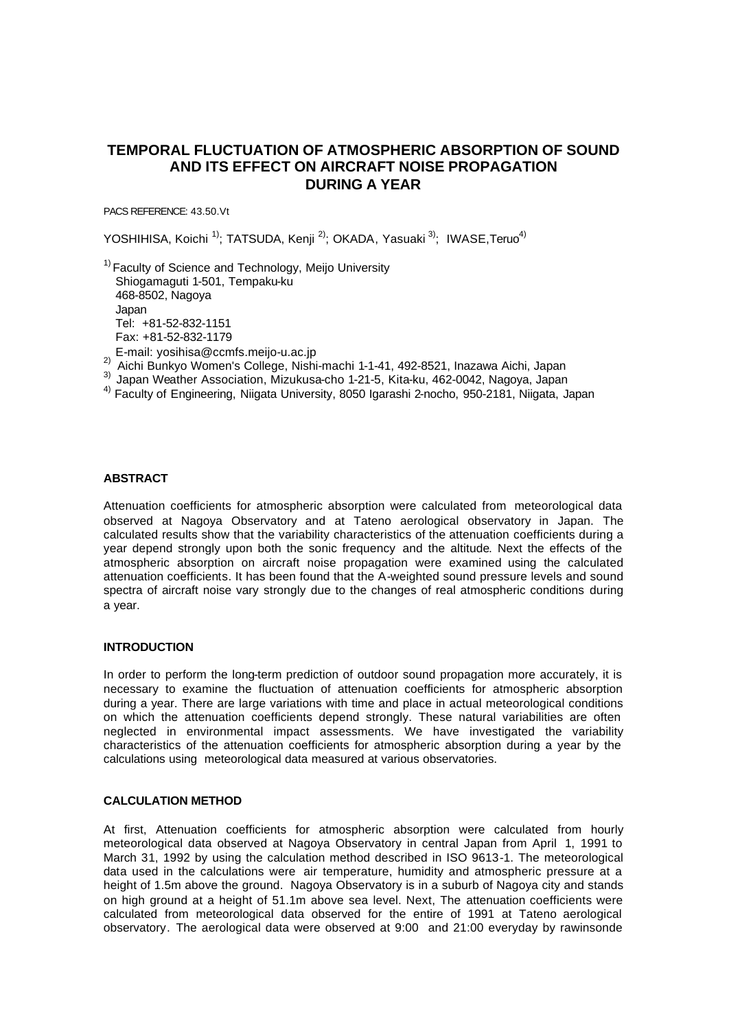# **TEMPORAL FLUCTUATION OF ATMOSPHERIC ABSORPTION OF SOUND AND ITS EFFECT ON AIRCRAFT NOISE PROPAGATION DURING A YEAR**

PACS REFERENCE: 43.50.Vt

YOSHIHISA, Koichi <sup>1)</sup>; TATSUDA, Kenji <sup>2)</sup>; OKADA, Yasuaki <sup>3)</sup>; IWASE,Teruo<sup>4)</sup>

 $1)$  Faculty of Science and Technology, Meijo University Shiogamaguti 1-501, Tempaku-ku 468-8502, Nagoya Japan Tel: +81-52-832-1151 Fax: +81-52-832-1179

- E-mail: yosihisa@ccmfs.meijo-u.ac.jp
- 2) Aichi Bunkyo Women's College, Nishi-machi 1-1-41, 492-8521, Inazawa Aichi, Japan
- 3) Japan Weather Association, Mizukusa-cho 1-21-5, Kita-ku, 462-0042, Nagoya, Japan
- <sup>4)</sup> Faculty of Engineering, Niigata University, 8050 Igarashi 2-nocho, 950-2181, Niigata, Japan

## **ABSTRACT**

Attenuation coefficients for atmospheric absorption were calculated from meteorological data observed at Nagoya Observatory and at Tateno aerological observatory in Japan. The calculated results show that the variability characteristics of the attenuation coefficients during a year depend strongly upon both the sonic frequency and the altitude. Next the effects of the atmospheric absorption on aircraft noise propagation were examined using the calculated attenuation coefficients. It has been found that the A-weighted sound pressure levels and sound spectra of aircraft noise vary strongly due to the changes of real atmospheric conditions during a year.

#### **INTRODUCTION**

In order to perform the long-term prediction of outdoor sound propagation more accurately, it is necessary to examine the fluctuation of attenuation coefficients for atmospheric absorption during a year. There are large variations with time and place in actual meteorological conditions on which the attenuation coefficients depend strongly. These natural variabilities are often neglected in environmental impact assessments. We have investigated the variability characteristics of the attenuation coefficients for atmospheric absorption during a year by the calculations using meteorological data measured at various observatories.

### **CALCULATION METHOD**

At first, Attenuation coefficients for atmospheric absorption were calculated from hourly meteorological data observed at Nagoya Observatory in central Japan from April 1, 1991 to March 31, 1992 by using the calculation method described in ISO 9613-1. The meteorological data used in the calculations were air temperature, humidity and atmospheric pressure at a height of 1.5m above the ground. Nagoya Observatory is in a suburb of Nagoya city and stands on high ground at a height of 51.1m above sea level. Next, The attenuation coefficients were calculated from meteorological data observed for the entire of 1991 at Tateno aerological observatory. The aerological data were observed at 9:00 and 21:00 everyday by rawinsonde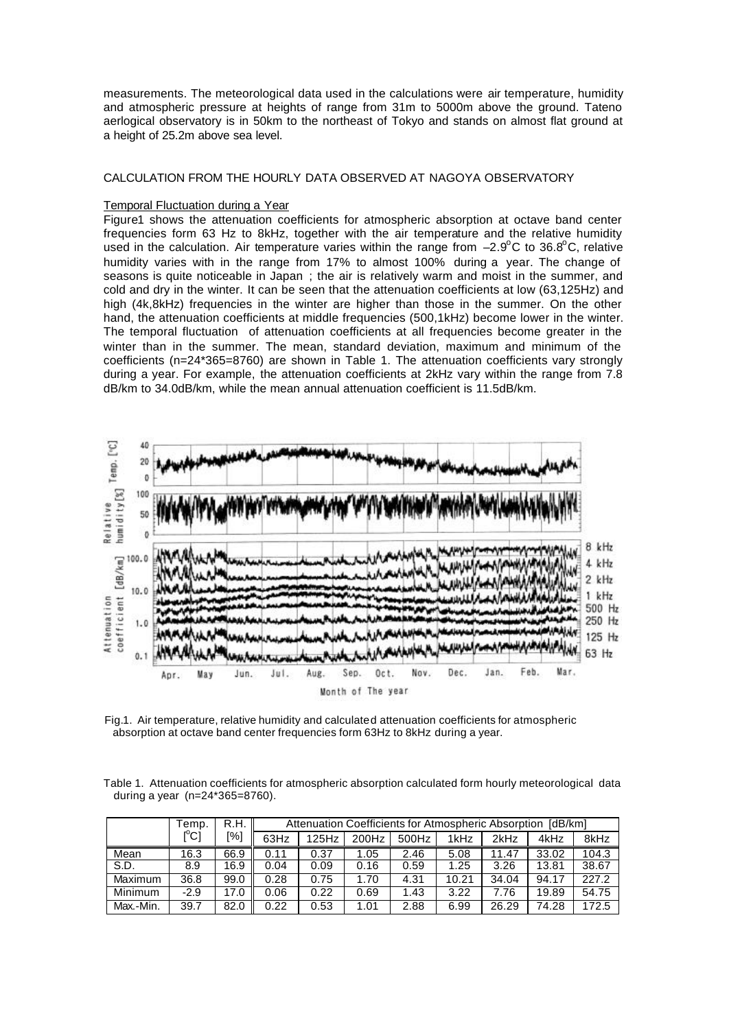measurements. The meteorological data used in the calculations were air temperature, humidity and atmospheric pressure at heights of range from 31m to 5000m above the ground. Tateno aerlogical observatory is in 50km to the northeast of Tokyo and stands on almost flat ground at a height of 25.2m above sea level.

### CALCULATION FROM THE HOURLY DATA OBSERVED AT NAGOYA OBSERVATORY

### Temporal Fluctuation during a Year

Figure1 shows the attenuation coefficients for atmospheric absorption at octave band center frequencies form 63 Hz to 8kHz, together with the air temperature and the relative humidity used in the calculation. Air temperature varies within the range from  $-2.9^{\circ}$ C to 36.8°C, relative humidity varies with in the range from 17% to almost 100% during a year. The change of seasons is quite noticeable in Japan ; the air is relatively warm and moist in the summer, and cold and dry in the winter. It can be seen that the attenuation coefficients at low (63,125Hz) and high (4k,8kHz) frequencies in the winter are higher than those in the summer. On the other hand, the attenuation coefficients at middle frequencies (500,1kHz) become lower in the winter. The temporal fluctuation of attenuation coefficients at all frequencies become greater in the winter than in the summer. The mean, standard deviation, maximum and minimum of the coefficients (n=24\*365=8760) are shown in Table 1. The attenuation coefficients vary strongly during a year. For example, the attenuation coefficients at 2kHz vary within the range from 7.8 dB/km to 34.0dB/km, while the mean annual attenuation coefficient is 11.5dB/km.



Fig.1. Air temperature, relative humidity and calculated attenuation coefficients for atmospheric absorption at octave band center frequencies form 63Hz to 8kHz during a year.

Table 1. Attenuation coefficients for atmospheric absorption calculated form hourly meteorological data during a year (n=24\*365=8760).

|           | Temp.                                   | R.H. |      | Attenuation Coefficients for Atmospheric Absorption |       |       |       |       | [dB/km] |       |
|-----------|-----------------------------------------|------|------|-----------------------------------------------------|-------|-------|-------|-------|---------|-------|
|           | $\mathsf{I}^\circ\mathsf{C} \mathsf{I}$ | [%]  | 63Hz | 125Hz                                               | 200Hz | 500Hz | 1kHz  | 2kHz  | 4kHz    | 8kHz  |
| Mean      | 16.3                                    | 66.9 | 0.11 | 0.37                                                | 1.05  | 2.46  | 5.08  | 11.47 | 33.02   | 104.3 |
| S.D.      | 8.9                                     | 16.9 | 0.04 | 0.09                                                | 0.16  | 0.59  | 1.25  | 3.26  | 13.81   | 38.67 |
| Maximum   | 36.8                                    | 99.0 | 0.28 | 0.75                                                | 1.70  | 4.31  | 10.21 | 34.04 | 94.17   | 227.2 |
| Minimum   | $-2.9$                                  | 17.0 | 0.06 | 0.22                                                | 0.69  | 1.43  | 3.22  | 7.76  | 19.89   | 54.75 |
| Max.-Min. | 39.7                                    | 82.0 | 0.22 | 0.53                                                | 1.01  | 2.88  | 6.99  | 26.29 | 74.28   | 172.5 |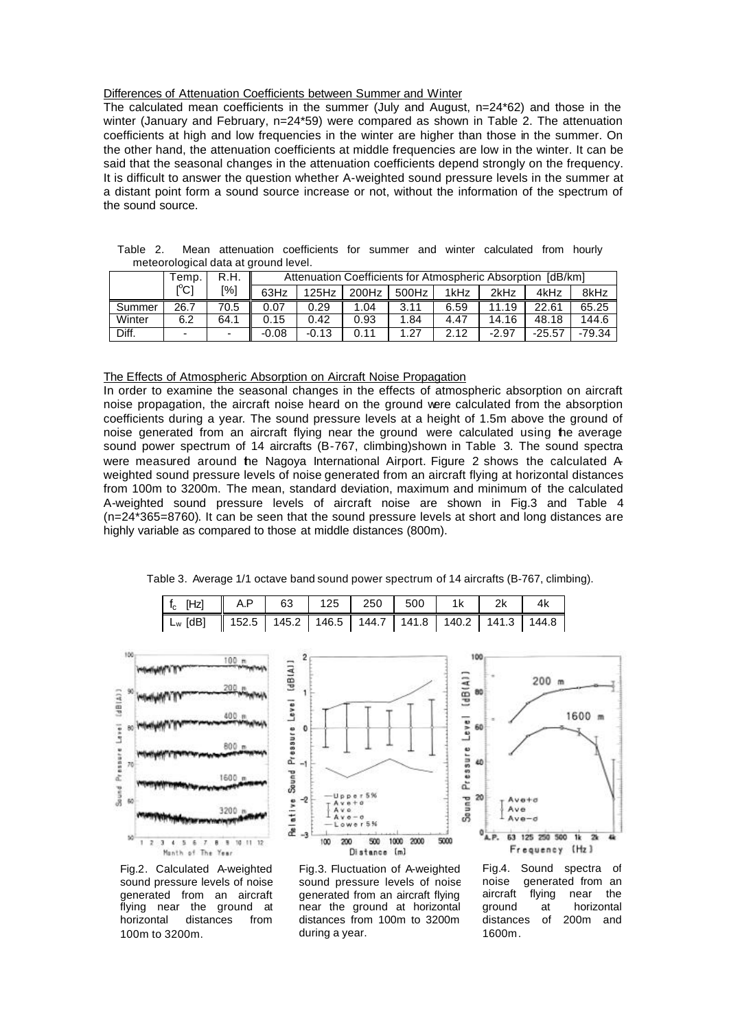### Differences of Attenuation Coefficients between Summer and Winter

The calculated mean coefficients in the summer (July and August, n=24\*62) and those in the winter (January and February, n=24\*59) were compared as shown in Table 2. The attenuation coefficients at high and low frequencies in the winter are higher than those in the summer. On the other hand, the attenuation coefficients at middle frequencies are low in the winter. It can be said that the seasonal changes in the attenuation coefficients depend strongly on the frequency. It is difficult to answer the question whether A-weighted sound pressure levels in the summer at a distant point form a sound source increase or not, without the information of the spectrum of the sound source.

| Table 2. |  | Mean attenuation coefficients for summer and winter calculated from hourly |                                                               |  |  |  |  |
|----------|--|----------------------------------------------------------------------------|---------------------------------------------------------------|--|--|--|--|
|          |  | meteorological data at ground level.                                       |                                                               |  |  |  |  |
|          |  |                                                                            | Attractive Orafficiants for Atmospheric Alexandres FJD (1994) |  |  |  |  |

|        | emp.        | Attenuation Coefficients for Atmospheric Absorption [dB/km]<br>R.H. |         |         |       |       |      |         |          |          |
|--------|-------------|---------------------------------------------------------------------|---------|---------|-------|-------|------|---------|----------|----------|
|        | $C^{\circ}$ | [%]                                                                 | 63Hz    | 125Hz   | 200Hz | 500Hz | 1kHz | 2kHz    | 4kHz     | 8kHz     |
| Summer | 26.7        | 70.5                                                                | 0.07    | 0.29    | .04   | 3.11  | 6.59 | 11.19   | 22.61    | 65.25    |
| Winter | 6.2         | 64.1                                                                | 0.15    | 0.42    | 0.93  | 1.84  | 4.47 | 14.16   | 48.18    | 144.6    |
| Diff.  | ۰.          | -                                                                   | $-0.08$ | $-0.13$ | 0.11  | 1.27  | 2.12 | $-2.97$ | $-25.57$ | $-79.34$ |

The Effects of Atmospheric Absorption on Aircraft Noise Propagation

In order to examine the seasonal changes in the effects of atmospheric absorption on aircraft noise propagation, the aircraft noise heard on the ground were calculated from the absorption coefficients during a year. The sound pressure levels at a height of 1.5m above the ground of noise generated from an aircraft flying near the ground were calculated using the average sound power spectrum of 14 aircrafts (B-767, climbing)shown in Table 3. The sound spectra were measured around the Nagoya International Airport. Figure 2 shows the calculated Aweighted sound pressure levels of noise generated from an aircraft flying at horizontal distances from 100m to 3200m. The mean, standard deviation, maximum and minimum of the calculated A-weighted sound pressure levels of aircraft noise are shown in Fig.3 and Table 4 (n=24\*365=8760). It can be seen that the sound pressure levels at short and long distances are highly variable as compared to those at middle distances (800m).

| Table 3. Average 1/1 octave band sound power spectrum of 14 aircrafts (B-767, climbing). |  |
|------------------------------------------------------------------------------------------|--|
|------------------------------------------------------------------------------------------|--|

| f <sub>c</sub> [Hz]    A.P   63   125   250   500   1k   2k   4k                              |  |  |  |  |
|-----------------------------------------------------------------------------------------------|--|--|--|--|
| L <sub>w</sub> [dB] $\parallel$ 152.5   145.2   146.5   144.7   141.8   140.2   141.3   144.8 |  |  |  |  |

 $\mathcal{D}$ 







Fig.2. Calculated A-weighted sound pressure levels of noise generated from an aircraft flying near the ground at horizontal distances from 100m to 3200m.

Fig.3. Fluctuation of A-weighted sound pressure levels of noise generated from an aircraft flying near the ground at horizontal distances from 100m to 3200m during a year.

Fig.4. Sound spectra of noise generated from an aircraft flying near the<br>ground at horizontal at horizontal distances of 200m and 1600m.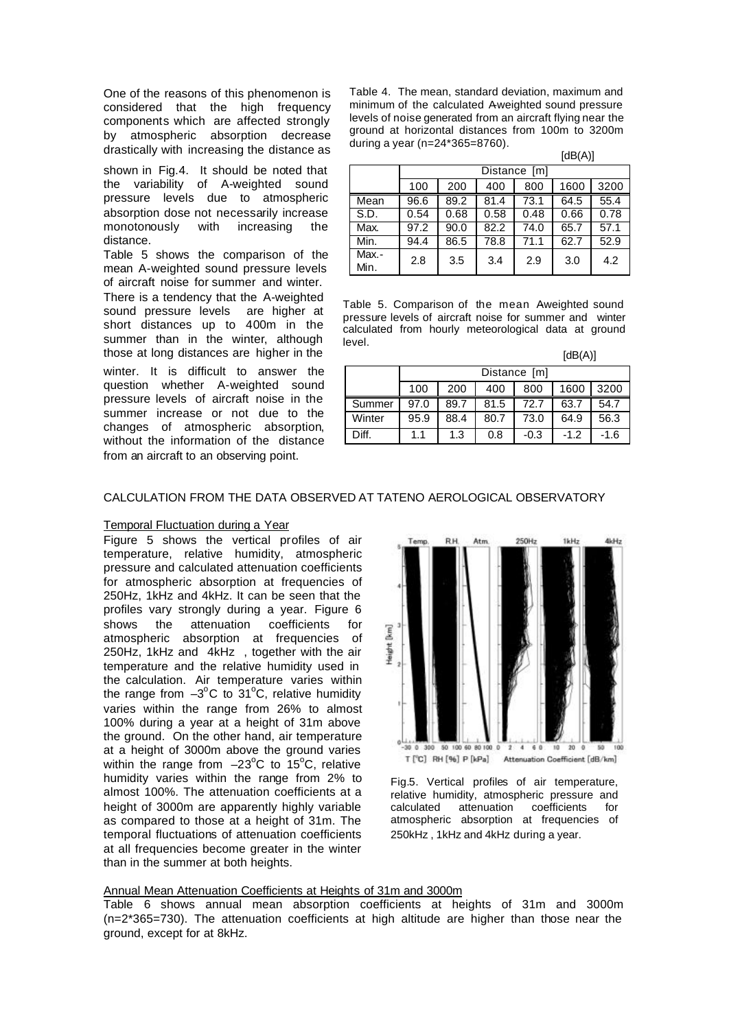One of the reasons of this phenomenon is considered that the high frequency components which are affected strongly by atmospheric absorption decrease drastically with increasing the distance as

shown in Fig.4. It should be noted that the variability of A-weighted sound pressure levels due to atmospheric absorption dose not necessarily increase monotonously with increasing the distance.

Table 5 shows the comparison of the mean A-weighted sound pressure levels of aircraft noise for summer and winter. There is a tendency that the A-weighted sound pressure levels are higher at short distances up to 400m in the summer than in the winter, although those at long distances are higher in the

winter. It is difficult to answer the question whether A-weighted sound pressure levels of aircraft noise in the summer increase or not due to the changes of atmospheric absorption, without the information of the distance from an aircraft to an observing point.

Table 4. The mean, standard deviation, maximum and minimum of the calculated Aweighted sound pressure levels of noise generated from an aircraft flying near the ground at horizontal distances from 100m to 3200m during a year (n=24\*365=8760).

 $[dB(A)]$ 

|               |      | Distance [m] |      |      |      |      |  |  |  |  |  |
|---------------|------|--------------|------|------|------|------|--|--|--|--|--|
|               | 100  | 200          | 400  | 800  | 1600 | 3200 |  |  |  |  |  |
| Mean          | 96.6 | 89.2         | 81.4 | 73.1 | 64.5 | 55.4 |  |  |  |  |  |
| S.D.          | 0.54 | 0.68         | 0.58 | 0.48 | 0.66 | 0.78 |  |  |  |  |  |
| Max.          | 97.2 | 90.0         | 82.2 | 74.0 | 65.7 | 57.1 |  |  |  |  |  |
| Min.          | 94.4 | 86.5         | 78.8 | 71.1 | 62.7 | 52.9 |  |  |  |  |  |
| Max.-<br>Min. | 2.8  | 3.5          | 3.4  | 2.9  | 3.0  | 4.2  |  |  |  |  |  |

Table 5. Comparison of the mean Aweighted sound pressure levels of aircraft noise for summer and winter calculated from hourly meteorological data at ground level.

|                                                          | [dB(A)] |                                   |      |      |      |      |  |  |  |  |  |  |
|----------------------------------------------------------|---------|-----------------------------------|------|------|------|------|--|--|--|--|--|--|
|                                                          |         | Distance [m]                      |      |      |      |      |  |  |  |  |  |  |
|                                                          | 100     | 200<br>1600<br>3200<br>400<br>800 |      |      |      |      |  |  |  |  |  |  |
| Summer                                                   | 97.0    | 89.7                              | 81.5 | 72.7 | 63.7 | 54.7 |  |  |  |  |  |  |
| Winter                                                   | 73.0    | 64.9                              | 56.3 |      |      |      |  |  |  |  |  |  |
| Diff.<br>$-0.3$<br>$-1.2$<br>1.3<br>0.8<br>$-1.6$<br>1.1 |         |                                   |      |      |      |      |  |  |  |  |  |  |

### CALCULATION FROM THE DATA OBSERVED AT TATENO AEROLOGICAL OBSERVATORY

#### Temporal Fluctuation during a Year

Figure 5 shows the vertical profiles of air temperature, relative humidity, atmospheric pressure and calculated attenuation coefficients for atmospheric absorption at frequencies of 250Hz, 1kHz and 4kHz. It can be seen that the profiles vary strongly during a year. Figure 6 shows the attenuation coefficients for atmospheric absorption at frequencies of 250Hz, 1kHz and 4kHz , together with the air temperature and the relative humidity used in the calculation. Air temperature varies within the range from  $-3^{\circ}$ C to  $31^{\circ}$ C, relative humidity varies within the range from 26% to almost 100% during a year at a height of 31m above the ground. On the other hand, air temperature at a height of 3000m above the ground varies within the range from  $-23^{\circ}$ C to 15<sup>o</sup>C, relative humidity varies within the range from 2% to almost 100%. The attenuation coefficients at a height of 3000m are apparently highly variable as compared to those at a height of 31m. The temporal fluctuations of attenuation coefficients at all frequencies become greater in the winter than in the summer at both heights.



Fig.5. Vertical profiles of air temperature, relative humidity, atmospheric pressure and calculated attenuation coefficients for atmospheric absorption at frequencies of 250kHz , 1kHz and 4kHz during a year.

#### Annual Mean Attenuation Coefficients at Heights of 31m and 3000m

Table 6 shows annual mean absorption coefficients at heights of 31m and 3000m (n=2\*365=730). The attenuation coefficients at high altitude are higher than those near the ground, except for at 8kHz.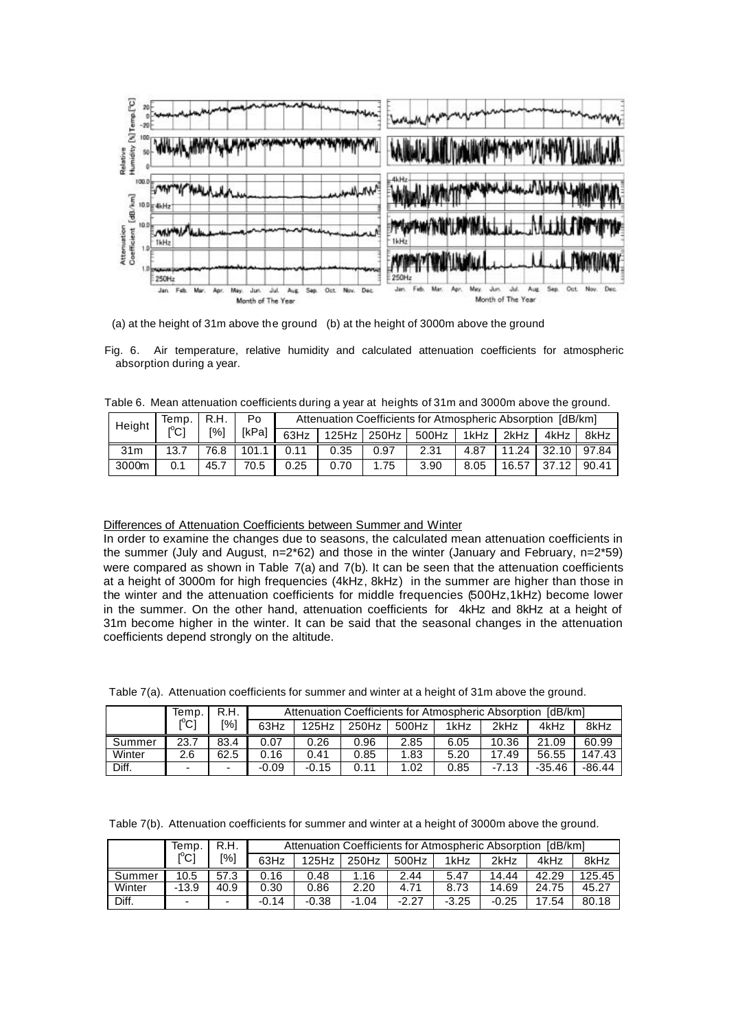

(a) at the height of 31m above the ground (b) at the height of 3000m above the ground

Fig. 6. Air temperature, relative humidity and calculated attenuation coefficients for atmospheric absorption during a year.

Table 6. Mean attenuation coefficients during a year at heights of 31m and 3000m above the ground.

| Height          | Temp. | R.H.               | Po                 |      |      |             | Attenuation Coefficients for Atmospheric Absorption [dB/km] |        |           |             |       |
|-----------------|-------|--------------------|--------------------|------|------|-------------|-------------------------------------------------------------|--------|-----------|-------------|-------|
|                 |       | $\lceil 96 \rceil$ | [kPa]              | 63Hz |      | 125Hz 250Hz | 500Hz                                                       | 1kHz l | 2kHz I    | 4kHz I      | 8kHz  |
| 31 <sub>m</sub> | 13.7  | 76.8               | 101.1 <sup>1</sup> | 0.11 | 0.35 | 0.97        | 2.31                                                        | 4.87   | $11.24$ I | 32.10 97.84 |       |
| 3000m           | 0.1   | 45.7               | 70.5               | 0.25 | 0.70 | 1.75        | 3.90                                                        | 8.05   | 16.57     | 37.12       | 90.41 |

#### Differences of Attenuation Coefficients between Summer and Winter

In order to examine the changes due to seasons, the calculated mean attenuation coefficients in the summer (July and August, n=2\*62) and those in the winter (January and February, n=2\*59) were compared as shown in Table 7(a) and 7(b). It can be seen that the attenuation coefficients at a height of 3000m for high frequencies (4kHz, 8kHz) in the summer are higher than those in the winter and the attenuation coefficients for middle frequencies (500Hz,1kHz) become lower in the summer. On the other hand, attenuation coefficients for 4kHz and 8kHz at a height of 31m become higher in the winter. It can be said that the seasonal changes in the attenuation coefficients depend strongly on the altitude.

|  | Table 7(a). Attenuation coefficients for summer and winter at a height of 31m above the ground. |  |  |  |  |
|--|-------------------------------------------------------------------------------------------------|--|--|--|--|
|  |                                                                                                 |  |  |  |  |

|        | Temp.                         | R.H.                     | Attenuation Coefficients for Atmospheric Absorption<br>[dB/km] |         |       |       |      |         |          |          |  |
|--------|-------------------------------|--------------------------|----------------------------------------------------------------|---------|-------|-------|------|---------|----------|----------|--|
|        | $\mathsf{I}^\circ\mathsf{C}1$ | [%]                      | 63Hz                                                           | 125Hz   | 250Hz | 500Hz | 1kHz | 2kHz    | 4kHz     | 8kHz     |  |
| Summer | 23.7                          | 83.4                     | 0.07                                                           | 0.26    | 0.96  | 2.85  | 6.05 | 10.36   | 21.09    | 60.99    |  |
| Winter | 2.6                           | 62.5                     | 0.16                                                           | 0.41    | 0.85  | 1.83  | 5.20 | 17.49   | 56.55    | 147.43   |  |
| Diff.  | -                             | $\overline{\phantom{0}}$ | $-0.09$                                                        | $-0.15$ | 0.11  | 1.02  | 0.85 | $-7.13$ | $-35.46$ | $-86.44$ |  |

Table 7(b). Attenuation coefficients for summer and winter at a height of 3000m above the ground.

|        | Temp.                                   | R.H.                     |         | Attenuation Coefficients for Atmospheric Absorption [dB/km] |       |         |         |         |       |        |  |  |
|--------|-----------------------------------------|--------------------------|---------|-------------------------------------------------------------|-------|---------|---------|---------|-------|--------|--|--|
|        | $\mathsf{I}^\circ\mathsf{C} \mathsf{I}$ | [%]                      | 63Hz    | 125Hz                                                       | 250Hz | 500Hz   | 1kHz    | 2kHz    | 4kHz  | 8kHz   |  |  |
| Summer | 10.5                                    | 57.3                     | 0.16    | 0.48                                                        | 16    | 2.44    | 5.47    | 14.44   | 42.29 | 125.45 |  |  |
| Winter | $-13.9$                                 | 40.9                     | 0.30    | 0.86                                                        | 2.20  | 4.71    | 8.73    | 14.69   | 24.75 | 45.27  |  |  |
| Diff.  | $\overline{\phantom{0}}$                | $\overline{\phantom{0}}$ | $-0.14$ | $-0.38$                                                     | -1.04 | $-2.27$ | $-3.25$ | $-0.25$ | 17.54 | 80.18  |  |  |